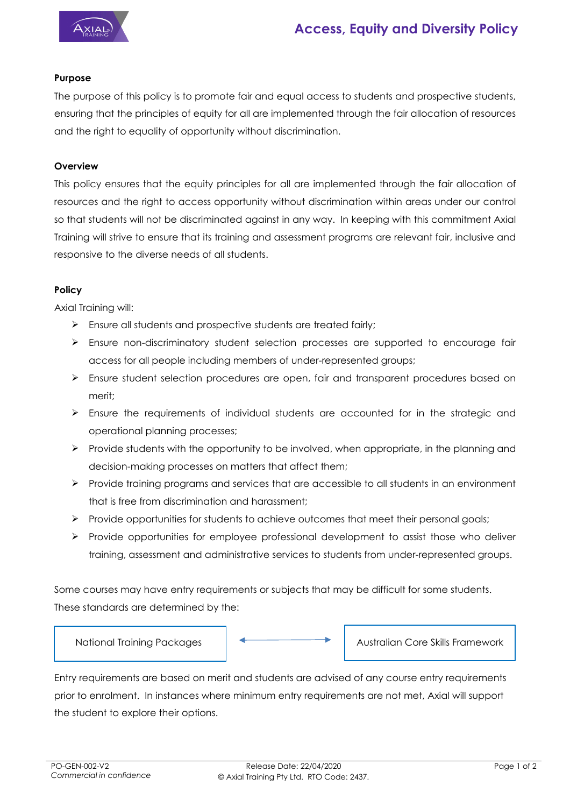

# **Access, Equity and Diversity Policy**

## **Purpose**

The purpose of this policy is to promote fair and equal access to students and prospective students, ensuring that the principles of equity for all are implemented through the fair allocation of resources and the right to equality of opportunity without discrimination.

#### **Overview**

This policy ensures that the equity principles for all are implemented through the fair allocation of resources and the right to access opportunity without discrimination within areas under our control so that students will not be discriminated against in any way. In keeping with this commitment Axial Training will strive to ensure that its training and assessment programs are relevant fair, inclusive and responsive to the diverse needs of all students.

#### **Policy**

Axial Training will:

- $\triangleright$  Ensure all students and prospective students are treated fairly;
- Ensure non-discriminatory student selection processes are supported to encourage fair access for all people including members of under-represented groups;
- $\triangleright$  Ensure student selection procedures are open, fair and transparent procedures based on merit;
- $\triangleright$  Ensure the requirements of individual students are accounted for in the strategic and operational planning processes;
- $\triangleright$  Provide students with the opportunity to be involved, when appropriate, in the planning and decision-making processes on matters that affect them;
- $\triangleright$  Provide training programs and services that are accessible to all students in an environment that is free from discrimination and harassment;
- $\triangleright$  Provide opportunities for students to achieve outcomes that meet their personal goals;
- $\triangleright$  Provide opportunities for employee professional development to assist those who deliver training, assessment and administrative services to students from under-represented groups.

Some courses may have entry requirements or subjects that may be difficult for some students. These standards are determined by the:



Entry requirements are based on merit and students are advised of any course entry requirements prior to enrolment. In instances where minimum entry requirements are not met, Axial will support the student to explore their options.